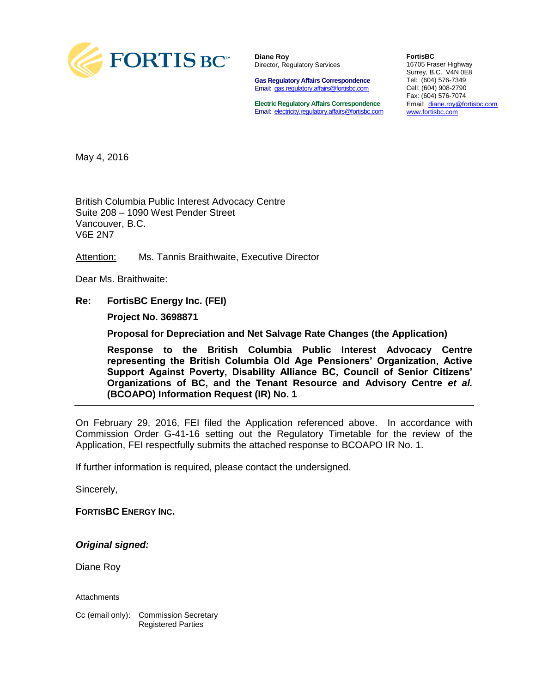

**Diane Roy** Director, Regulatory Services

**Gas Regulatory Affairs Correspondence** Email: [gas.regulatory.affairs@fortisbc.com](mailto:gas.regulatory.affairs@fortisbc.com)

**Electric Regulatory Affairs Correspondence** Email: [electricity.regulatory.affairs@fortisbc.com](mailto:electricity.regulatory.affairs@fortisbc.com)

**FortisBC**  16705 Fraser Highway Surrey, B.C. V4N 0E8 Tel: (604) 576-7349 Cell: (604) 908-2790 Fax: (604) 576-7074 Email: [diane.roy@fortisbc.com](mailto:diane.roy@fortisbc.com)  [www.fortisbc.com](http://www.fortisbc.com/)

May 4, 2016

British Columbia Public Interest Advocacy Centre Suite 208 – 1090 West Pender Street Vancouver, B.C. V6E 2N7

Attention: Ms. Tannis Braithwaite, Executive Director

Dear Ms. Braithwaite:

**Re: FortisBC Energy Inc. (FEI)**

**Project No. 3698871** 

**Proposal for Depreciation and Net Salvage Rate Changes (the Application)** 

**Response to the British Columbia Public Interest Advocacy Centre representing the British Columbia Old Age Pensioners' Organization, Active Support Against Poverty, Disability Alliance BC, Council of Senior Citizens' Organizations of BC, and the Tenant Resource and Advisory Centre** *et al.* **(BCOAPO) Information Request (IR) No. 1** 

On February 29, 2016, FEI filed the Application referenced above. In accordance with Commission Order G-41-16 setting out the Regulatory Timetable for the review of the Application, FEI respectfully submits the attached response to BCOAPO IR No. 1.

If further information is required, please contact the undersigned.

Sincerely,

**FORTISBC ENERGY INC.** 

*Original signed:* 

Diane Roy

Attachments

Cc (email only): Commission Secretary Registered Parties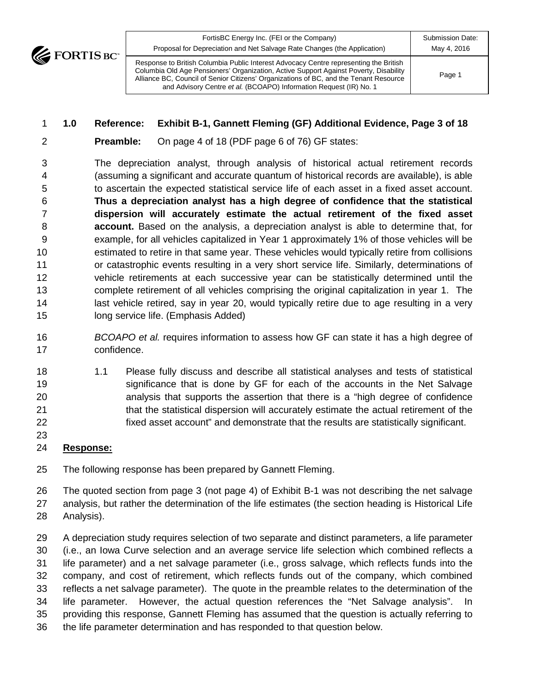FortisBC Energy Inc. (FEI or the Company) Proposal for Depreciation and Net Salvage Rate Changes (the Application) Submission Date: May 4, 2016 Response to British Columbia Public Interest Advocacy Centre representing the British Columbia Old Age Pensioners' Organization, Active Support Against Poverty, Disability Alliance BC, Council of Senior Citizens' Organizations of BC, and the Tenant Resource and Advisory Centre *et al.* (BCOAPO) Information Request (IR) No. 1 Page 1

### **1.0 Reference: Exhibit B-1, Gannett Fleming (GF) Additional Evidence, Page 3 of 18**

**Preamble:** On page 4 of 18 (PDF page 6 of 76) GF states:

 The depreciation analyst, through analysis of historical actual retirement records (assuming a significant and accurate quantum of historical records are available), is able to ascertain the expected statistical service life of each asset in a fixed asset account. **Thus a depreciation analyst has a high degree of confidence that the statistical dispersion will accurately estimate the actual retirement of the fixed asset account.** Based on the analysis, a depreciation analyst is able to determine that, for example, for all vehicles capitalized in Year 1 approximately 1% of those vehicles will be estimated to retire in that same year. These vehicles would typically retire from collisions or catastrophic events resulting in a very short service life. Similarly, determinations of vehicle retirements at each successive year can be statistically determined until the complete retirement of all vehicles comprising the original capitalization in year 1. The 14 last vehicle retired, say in year 20, would typically retire due to age resulting in a very long service life. (Emphasis Added)

- *BCOAPO et al.* requires information to assess how GF can state it has a high degree of confidence.
- 1.1 Please fully discuss and describe all statistical analyses and tests of statistical significance that is done by GF for each of the accounts in the Net Salvage analysis that supports the assertion that there is a "high degree of confidence 21 that the statistical dispersion will accurately estimate the actual retirement of the fixed asset account" and demonstrate that the results are statistically significant.
- 
- **Response:**

The following response has been prepared by Gannett Fleming.

 The quoted section from page 3 (not page 4) of Exhibit B-1 was not describing the net salvage analysis, but rather the determination of the life estimates (the section heading is Historical Life Analysis).

 A depreciation study requires selection of two separate and distinct parameters, a life parameter (i.e., an Iowa Curve selection and an average service life selection which combined reflects a life parameter) and a net salvage parameter (i.e., gross salvage, which reflects funds into the company, and cost of retirement, which reflects funds out of the company, which combined reflects a net salvage parameter). The quote in the preamble relates to the determination of the life parameter. However, the actual question references the "Net Salvage analysis". In providing this response, Gannett Fleming has assumed that the question is actually referring to the life parameter determination and has responded to that question below.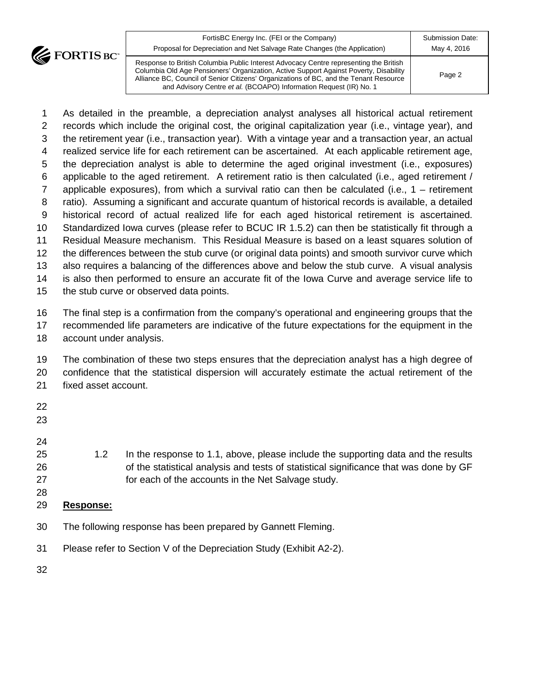

| $\mathbf{r}$ | FortisBC Energy Inc. (FEI or the Company)<br>Proposal for Depreciation and Net Salvage Rate Changes (the Application)                                                                                                                                                                                                                         | Submission Date:<br>May 4, 2016 |
|--------------|-----------------------------------------------------------------------------------------------------------------------------------------------------------------------------------------------------------------------------------------------------------------------------------------------------------------------------------------------|---------------------------------|
|              | Response to British Columbia Public Interest Advocacy Centre representing the British<br>Columbia Old Age Pensioners' Organization, Active Support Against Poverty, Disability<br>Alliance BC, Council of Senior Citizens' Organizations of BC, and the Tenant Resource<br>and Advisory Centre et al. (BCOAPO) Information Request (IR) No. 1 | Page 2                          |

 As detailed in the preamble, a depreciation analyst analyses all historical actual retirement records which include the original cost, the original capitalization year (i.e., vintage year), and the retirement year (i.e., transaction year). With a vintage year and a transaction year, an actual realized service life for each retirement can be ascertained. At each applicable retirement age, the depreciation analyst is able to determine the aged original investment (i.e., exposures) applicable to the aged retirement. A retirement ratio is then calculated (i.e., aged retirement / applicable exposures), from which a survival ratio can then be calculated (i.e., 1 – retirement ratio). Assuming a significant and accurate quantum of historical records is available, a detailed historical record of actual realized life for each aged historical retirement is ascertained. Standardized Iowa curves (please refer to BCUC IR 1.5.2) can then be statistically fit through a Residual Measure mechanism. This Residual Measure is based on a least squares solution of the differences between the stub curve (or original data points) and smooth survivor curve which also requires a balancing of the differences above and below the stub curve. A visual analysis is also then performed to ensure an accurate fit of the Iowa Curve and average service life to the stub curve or observed data points. The final step is a confirmation from the company's operational and engineering groups that the recommended life parameters are indicative of the future expectations for the equipment in the account under analysis. The combination of these two steps ensures that the depreciation analyst has a high degree of confidence that the statistical dispersion will accurately estimate the actual retirement of the fixed asset account. 1.2 In the response to 1.1, above, please include the supporting data and the results 26 of the statistical analysis and tests of statistical significance that was done by GF for each of the accounts in the Net Salvage study. 

- **Response:**
- The following response has been prepared by Gannett Fleming.
- Please refer to Section V of the Depreciation Study (Exhibit A2-2).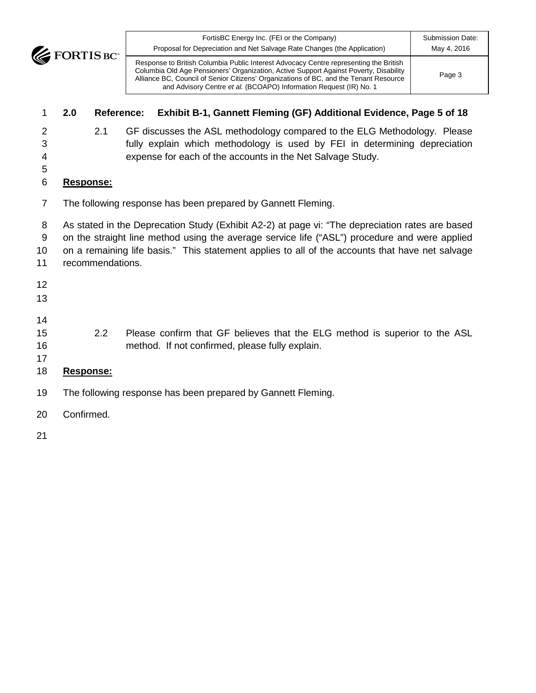**EXECUTE BOY** 

# **2.0 Reference: Exhibit B-1, Gannett Fleming (GF) Additional Evidence, Page 5 of 18**

 2.1 GF discusses the ASL methodology compared to the ELG Methodology. Please fully explain which methodology is used by FEI in determining depreciation expense for each of the accounts in the Net Salvage Study.

and Advisory Centre *et al.* (BCOAPO) Information Request (IR) No. 1

### **Response:**

The following response has been prepared by Gannett Fleming.

As stated in the Deprecation Study (Exhibit A2-2) at page vi: "The depreciation rates are based

on the straight line method using the average service life ("ASL") procedure and were applied

on a remaining life basis." This statement applies to all of the accounts that have net salvage

- recommendations.
- 

- 
- 

 2.2 Please confirm that GF believes that the ELG method is superior to the ASL method. If not confirmed, please fully explain.

# **Response:**

- The following response has been prepared by Gannett Fleming.
- Confirmed.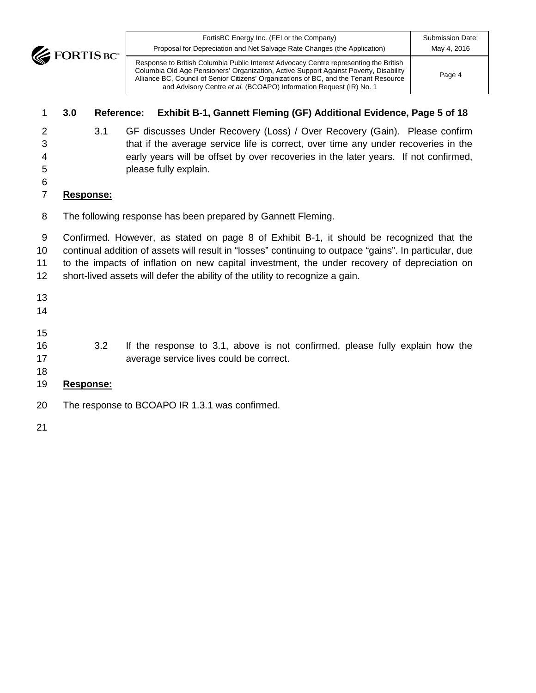| FortisBC Energy Inc. (FEI or the Company)<br>Proposal for Depreciation and Net Salvage Rate Changes (the Application)                                                                                                                                                   | <b>Submission Date:</b><br>May 4, 2016 |
|-------------------------------------------------------------------------------------------------------------------------------------------------------------------------------------------------------------------------------------------------------------------------|----------------------------------------|
| Response to British Columbia Public Interest Advocacy Centre representing the British<br>Columbia Old Age Pensioners' Organization, Active Support Against Poverty, Disability<br>Alliance BC, Council of Senior Citizens' Organizations of BC, and the Tenant Resource | Page 4                                 |

# **3.0 Reference: Exhibit B-1, Gannett Fleming (GF) Additional Evidence, Page 5 of 18**

and Advisory Centre *et al.* (BCOAPO) Information Request (IR) No. 1

 3.1 GF discusses Under Recovery (Loss) / Over Recovery (Gain). Please confirm that if the average service life is correct, over time any under recoveries in the early years will be offset by over recoveries in the later years. If not confirmed, please fully explain.

# 

- **Response:**
- The following response has been prepared by Gannett Fleming.

 Confirmed. However, as stated on page 8 of Exhibit B-1, it should be recognized that the continual addition of assets will result in "losses" continuing to outpace "gains". In particular, due to the impacts of inflation on new capital investment, the under recovery of depreciation on short-lived assets will defer the ability of the utility to recognize a gain.

- 
- 
- 
- 3.2 If the response to 3.1, above is not confirmed, please fully explain how the average service lives could be correct.
- 
- **Response:**
- The response to BCOAPO IR 1.3.1 was confirmed.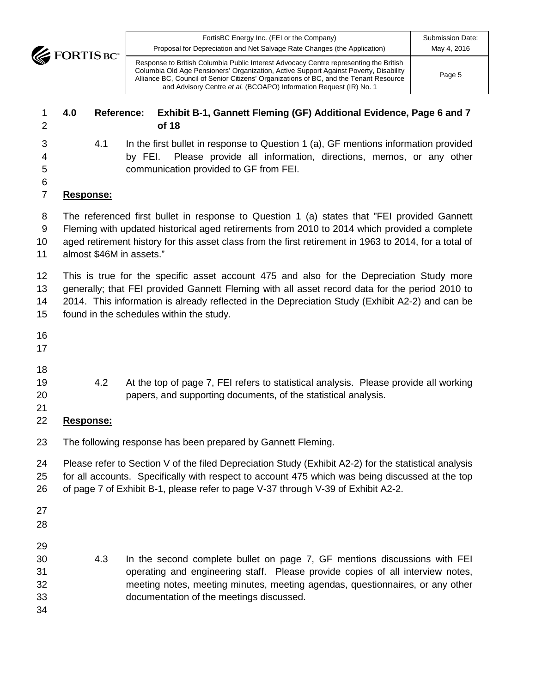| FortisBC Energy Inc. (FEI or the Company)                                                                                                                                                                                                                                                                                                     | Submission Date: |
|-----------------------------------------------------------------------------------------------------------------------------------------------------------------------------------------------------------------------------------------------------------------------------------------------------------------------------------------------|------------------|
| Proposal for Depreciation and Net Salvage Rate Changes (the Application)                                                                                                                                                                                                                                                                      | May 4, 2016      |
| Response to British Columbia Public Interest Advocacy Centre representing the British<br>Columbia Old Age Pensioners' Organization, Active Support Against Poverty, Disability<br>Alliance BC, Council of Senior Citizens' Organizations of BC, and the Tenant Resource<br>and Advisory Centre et al. (BCOAPO) Information Request (IR) No. 1 | Page 5           |

### **4.0 Reference: Exhibit B-1, Gannett Fleming (GF) Additional Evidence, Page 6 and 7 of 18**

- 
- 4.1 In the first bullet in response to Question 1 (a), GF mentions information provided by FEI. Please provide all information, directions, memos, or any other communication provided to GF from FEI.
- 

# **Response:**

 The referenced first bullet in response to Question 1 (a) states that "FEI provided Gannett Fleming with updated historical aged retirements from 2010 to 2014 which provided a complete aged retirement history for this asset class from the first retirement in 1963 to 2014, for a total of

almost \$46M in assets."

 This is true for the specific asset account 475 and also for the Depreciation Study more generally; that FEI provided Gannett Fleming with all asset record data for the period 2010 to 2014. This information is already reflected in the Depreciation Study (Exhibit A2-2) and can be found in the schedules within the study.

- 
- 
- 
- 4.2 At the top of page 7, FEI refers to statistical analysis. Please provide all working papers, and supporting documents, of the statistical analysis.
- 
- **Response:**
- The following response has been prepared by Gannett Fleming.

 Please refer to Section V of the filed Depreciation Study (Exhibit A2-2) for the statistical analysis for all accounts. Specifically with respect to account 475 which was being discussed at the top of page 7 of Exhibit B-1, please refer to page V-37 through V-39 of Exhibit A2-2.

- 
- 
- 
- 4.3 In the second complete bullet on page 7, GF mentions discussions with FEI operating and engineering staff. Please provide copies of all interview notes, meeting notes, meeting minutes, meeting agendas, questionnaires, or any other documentation of the meetings discussed.
-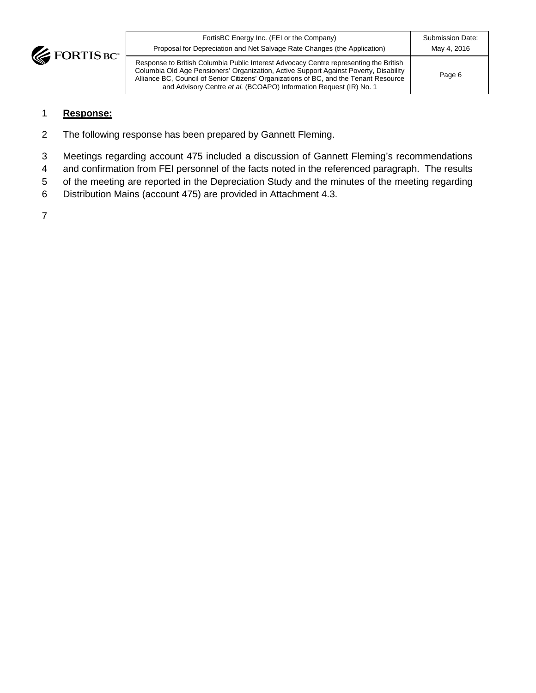

| FortisBC Energy Inc. (FEI or the Company)<br>Proposal for Depreciation and Net Salvage Rate Changes (the Application)                                                                                                                                                                                                                         | Submission Date:<br>May 4, 2016 |
|-----------------------------------------------------------------------------------------------------------------------------------------------------------------------------------------------------------------------------------------------------------------------------------------------------------------------------------------------|---------------------------------|
| Response to British Columbia Public Interest Advocacy Centre representing the British<br>Columbia Old Age Pensioners' Organization, Active Support Against Poverty, Disability<br>Alliance BC, Council of Senior Citizens' Organizations of BC, and the Tenant Resource<br>and Advisory Centre et al. (BCOAPO) Information Request (IR) No. 1 | Page 6                          |

#### 1 **Response:**

- 2 The following response has been prepared by Gannett Fleming.
- 3 Meetings regarding account 475 included a discussion of Gannett Fleming's recommendations
- 4 and confirmation from FEI personnel of the facts noted in the referenced paragraph. The results
- 5 of the meeting are reported in the Depreciation Study and the minutes of the meeting regarding
- 6 Distribution Mains (account 475) are provided in Attachment 4.3.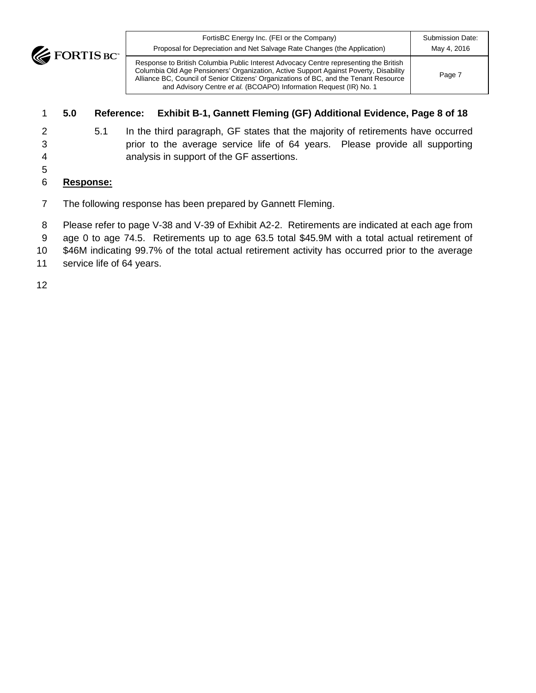**EXECUTE BOY** 

Page 7

Response to British Columbia Public Interest Advocacy Centre representing the British Columbia Old Age Pensioners' Organization, Active Support Against Poverty, Disability Alliance BC, Council of Senior Citizens' Organizations of BC, and the Tenant Resource and Advisory Centre *et al.* (BCOAPO) Information Request (IR) No. 1

### 1 **5.0 Reference: Exhibit B**‐**1, Gannett Fleming (GF) Additional Evidence, Page 8 of 18**

5

2 5.1 In the third paragraph, GF states that the majority of retirements have occurred 3 prior to the average service life of 64 years. Please provide all supporting 4 analysis in support of the GF assertions.

# 6 **Response:**

- 7 The following response has been prepared by Gannett Fleming.
- 8 Please refer to page V-38 and V-39 of Exhibit A2-2. Retirements are indicated at each age from
- 9 age 0 to age 74.5. Retirements up to age 63.5 total \$45.9M with a total actual retirement of
- 10 \$46M indicating 99.7% of the total actual retirement activity has occurred prior to the average
- 11 service life of 64 years.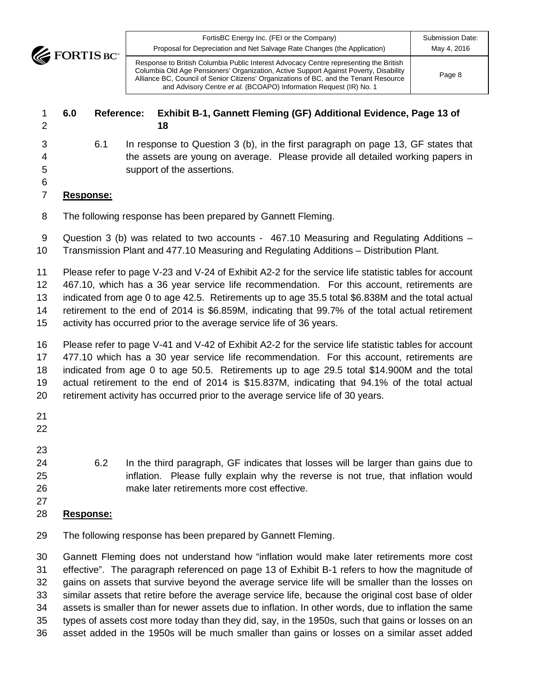Alliance BC, Council of Senior Citizens' Organizations of BC, and the Tenant Resource and Advisory Centre *et al.* (BCOAPO) Information Request (IR) No. 1 Page 8

### **6.0 Reference: Exhibit B**‐**1, Gannett Fleming (GF) Additional Evidence, Page 13 of 18**

 6.1 In response to Question 3 (b), in the first paragraph on page 13, GF states that the assets are young on average. Please provide all detailed working papers in support of the assertions.

#### **Response:**

The following response has been prepared by Gannett Fleming.

 Question 3 (b) was related to two accounts - 467.10 Measuring and Regulating Additions – Transmission Plant and 477.10 Measuring and Regulating Additions – Distribution Plant.

 Please refer to page V-23 and V-24 of Exhibit A2-2 for the service life statistic tables for account 467.10, which has a 36 year service life recommendation. For this account, retirements are indicated from age 0 to age 42.5. Retirements up to age 35.5 total \$6.838M and the total actual retirement to the end of 2014 is \$6.859M, indicating that 99.7% of the total actual retirement

activity has occurred prior to the average service life of 36 years.

 Please refer to page V-41 and V-42 of Exhibit A2-2 for the service life statistic tables for account 477.10 which has a 30 year service life recommendation. For this account, retirements are indicated from age 0 to age 50.5. Retirements up to age 29.5 total \$14.900M and the total actual retirement to the end of 2014 is \$15.837M, indicating that 94.1% of the total actual retirement activity has occurred prior to the average service life of 30 years.

- 
- 
- 

 6.2 In the third paragraph, GF indicates that losses will be larger than gains due to inflation. Please fully explain why the reverse is not true, that inflation would make later retirements more cost effective.

# **Response:**

The following response has been prepared by Gannett Fleming.

 Gannett Fleming does not understand how "inflation would make later retirements more cost effective". The paragraph referenced on page 13 of Exhibit B-1 refers to how the magnitude of gains on assets that survive beyond the average service life will be smaller than the losses on similar assets that retire before the average service life, because the original cost base of older assets is smaller than for newer assets due to inflation. In other words, due to inflation the same types of assets cost more today than they did, say, in the 1950s, such that gains or losses on an asset added in the 1950s will be much smaller than gains or losses on a similar asset added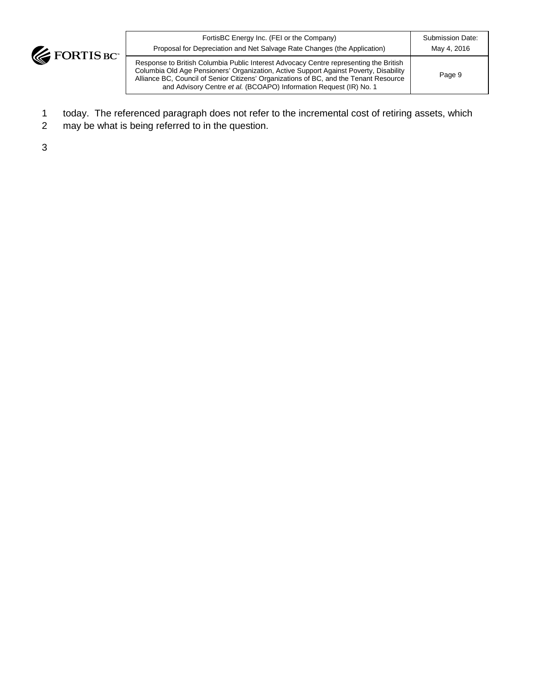

| FortisBC Energy Inc. (FEI or the Company)                                                                                                                                                                                                                                                                                                     | Submission Date: |
|-----------------------------------------------------------------------------------------------------------------------------------------------------------------------------------------------------------------------------------------------------------------------------------------------------------------------------------------------|------------------|
| Proposal for Depreciation and Net Salvage Rate Changes (the Application)                                                                                                                                                                                                                                                                      | May 4, 2016      |
| Response to British Columbia Public Interest Advocacy Centre representing the British<br>Columbia Old Age Pensioners' Organization, Active Support Against Poverty, Disability<br>Alliance BC, Council of Senior Citizens' Organizations of BC, and the Tenant Resource<br>and Advisory Centre et al. (BCOAPO) Information Request (IR) No. 1 | Page 9           |

- 1 today. The referenced paragraph does not refer to the incremental cost of retiring assets, which
- 2 may be what is being referred to in the question.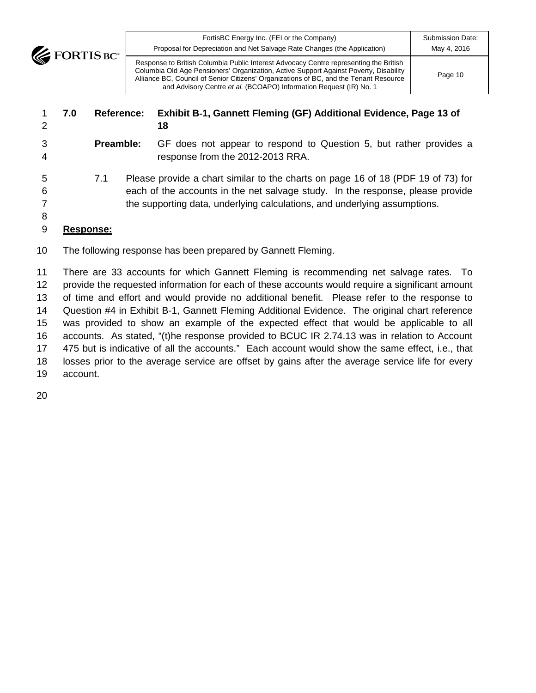**EXECUTE BOY** 

FortisBC Energy Inc. (FEI or the Company) Proposal for Depreciation and Net Salvage Rate Changes (the Application) Submission Date: May 4, 2016 Response to British Columbia Public Interest Advocacy Centre representing the British

Page 10

Columbia Old Age Pensioners' Organization, Active Support Against Poverty, Disability Alliance BC, Council of Senior Citizens' Organizations of BC, and the Tenant Resource and Advisory Centre *et al.* (BCOAPO) Information Request (IR) No. 1

| 1<br>2                | 7.0       | <b>Reference:</b> | Exhibit B-1, Gannett Fleming (GF) Additional Evidence, Page 13 of<br>18                                                                                                                                                                         |
|-----------------------|-----------|-------------------|-------------------------------------------------------------------------------------------------------------------------------------------------------------------------------------------------------------------------------------------------|
| 3<br>$\overline{4}$   |           | Preamble:         | GF does not appear to respond to Question 5, but rather provides a<br>response from the 2012-2013 RRA.                                                                                                                                          |
| 5<br>6<br>7<br>8<br>9 | Response: | 7.1               | Please provide a chart similar to the charts on page 16 of 18 (PDF 19 of 73) for<br>each of the accounts in the net salvage study. In the response, please provide<br>the supporting data, underlying calculations, and underlying assumptions. |

The following response has been prepared by Gannett Fleming.

 There are 33 accounts for which Gannett Fleming is recommending net salvage rates. To provide the requested information for each of these accounts would require a significant amount of time and effort and would provide no additional benefit. Please refer to the response to Question #4 in Exhibit B-1, Gannett Fleming Additional Evidence. The original chart reference was provided to show an example of the expected effect that would be applicable to all accounts. As stated, "(t)he response provided to BCUC IR 2.74.13 was in relation to Account 475 but is indicative of all the accounts." Each account would show the same effect, i.e., that losses prior to the average service are offset by gains after the average service life for every account.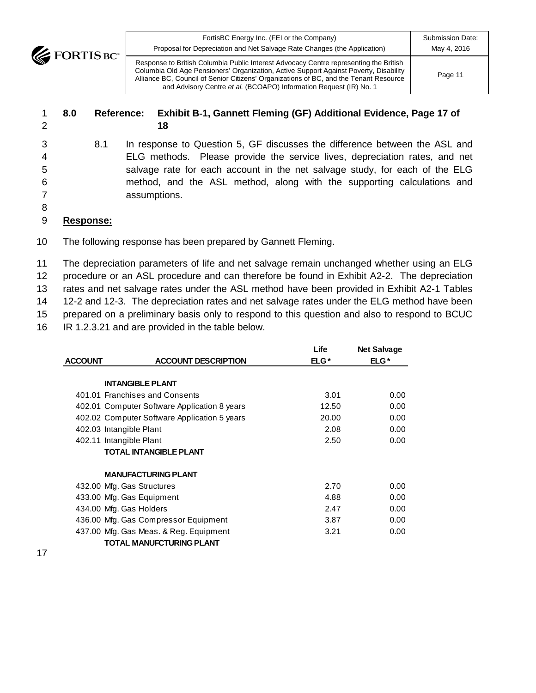FortisBC Energy Inc. (FEI or the Company)

Submission Date: May 4, 2016

Page 11

Response to British Columbia Public Interest Advocacy Centre representing the British Columbia Old Age Pensioners' Organization, Active Support Against Poverty, Disability Alliance BC, Council of Senior Citizens' Organizations of BC, and the Tenant Resource and Advisory Centre *et al.* (BCOAPO) Information Request (IR) No. 1

Proposal for Depreciation and Net Salvage Rate Changes (the Application)

### 1 **8.0 Reference: Exhibit B**‐**1, Gannett Fleming (GF) Additional Evidence, Page 17 of**  2 **18**

 8.1 In response to Question 5, GF discusses the difference between the ASL and ELG methods. Please provide the service lives, depreciation rates, and net salvage rate for each account in the net salvage study, for each of the ELG method, and the ASL method, along with the supporting calculations and assumptions.

8

### 9 **Response:**

**EXECUTE FORTIS BC** 

10 The following response has been prepared by Gannett Fleming.

 The depreciation parameters of life and net salvage remain unchanged whether using an ELG procedure or an ASL procedure and can therefore be found in Exhibit A2-2. The depreciation rates and net salvage rates under the ASL method have been provided in Exhibit A2-1 Tables 12-2 and 12-3. The depreciation rates and net salvage rates under the ELG method have been prepared on a preliminary basis only to respond to this question and also to respond to BCUC IR 1.2.3.21 and are provided in the table below.

|                |                                              | Life  | <b>Net Salvage</b> |
|----------------|----------------------------------------------|-------|--------------------|
| <b>ACCOUNT</b> | <b>ACCOUNT DESCRIPTION</b>                   | ELG*  | $ELG*$             |
|                |                                              |       |                    |
|                | <b>INTANGIBLE PLANT</b>                      |       |                    |
|                | 401.01 Franchises and Consents               | 3.01  | 0.00               |
|                | 402.01 Computer Software Application 8 years | 12.50 | 0.00               |
|                | 402.02 Computer Software Application 5 years | 20.00 | 0.00               |
|                | 402.03 Intangible Plant                      | 2.08  | 0.00               |
|                | 402.11 Intangible Plant                      | 2.50  | 0.00               |
|                | <b>TOTAL INTANGIBLE PLANT</b>                |       |                    |
|                | <b>MANUFACTURING PLANT</b>                   |       |                    |
|                | 432.00 Mfg. Gas Structures                   | 2.70  | 0.00               |
|                | 433.00 Mfg. Gas Equipment                    | 4.88  | 0.00               |
|                | 434.00 Mfg. Gas Holders                      | 2.47  | 0.00               |
|                | 436.00 Mfg. Gas Compressor Equipment         | 3.87  | 0.00               |
|                | 437.00 Mfg. Gas Meas. & Reg. Equipment       | 3.21  | 0.00               |
|                | <b>TOTAL MANUFCTURING PLANT</b>              |       |                    |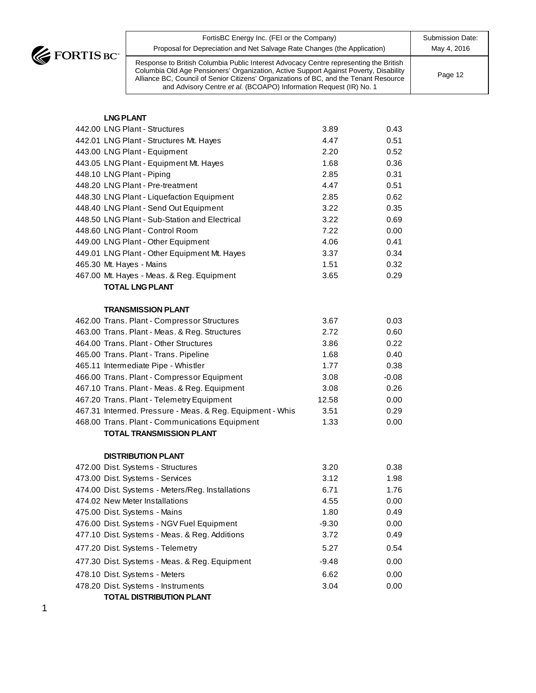J.

| FortisBC Energy Inc. (FEI or the Company)                                                                                                                                                                                                                                                                                                     | Submission Date: |
|-----------------------------------------------------------------------------------------------------------------------------------------------------------------------------------------------------------------------------------------------------------------------------------------------------------------------------------------------|------------------|
| Proposal for Depreciation and Net Salvage Rate Changes (the Application)                                                                                                                                                                                                                                                                      | May 4, 2016      |
| Response to British Columbia Public Interest Advocacy Centre representing the British<br>Columbia Old Age Pensioners' Organization, Active Support Against Poverty, Disability<br>Alliance BC, Council of Senior Citizens' Organizations of BC, and the Tenant Resource<br>and Advisory Centre et al. (BCOAPO) Information Request (IR) No. 1 | Page 12          |

| <b>LNG PLANT</b>                                          |         |         |
|-----------------------------------------------------------|---------|---------|
| 442.00 LNG Plant - Structures                             | 3.89    | 0.43    |
| 442.01 LNG Plant - Structures Mt. Hayes                   | 4.47    | 0.51    |
| 443.00 LNG Plant - Equipment                              | 2.20    | 0.52    |
| 443.05 LNG Plant - Equipment Mt. Hayes                    | 1.68    | 0.36    |
| 448.10 LNG Plant - Piping                                 | 2.85    | 0.31    |
| 448.20 LNG Plant - Pre-treatment                          | 4.47    | 0.51    |
| 448.30 LNG Plant - Liquefaction Equipment                 | 2.85    | 0.62    |
| 448.40 LNG Plant - Send Out Equipment                     | 3.22    | 0.35    |
| 448.50 LNG Plant - Sub-Station and Electrical             | 3.22    | 0.69    |
| 448.60 LNG Plant - Control Room                           | 7.22    | 0.00    |
| 449.00 LNG Plant - Other Equipment                        | 4.06    | 0.41    |
| 449.01 LNG Plant - Other Equipment Mt. Hayes              | 3.37    | 0.34    |
| 465.30 Mt. Hayes - Mains                                  | 1.51    | 0.32    |
| 467.00 Mt. Hayes - Meas. & Reg. Equipment                 | 3.65    | 0.29    |
| <b>TOTAL LNG PLANT</b>                                    |         |         |
| <b>TRANSMISSION PLANT</b>                                 |         |         |
| 462.00 Trans. Plant - Compressor Structures               | 3.67    | 0.03    |
| 463.00 Trans. Plant - Meas. & Reg. Structures             | 2.72    | 0.60    |
| 464.00 Trans. Plant - Other Structures                    | 3.86    | 0.22    |
| 465.00 Trans. Plant - Trans. Pipeline                     | 1.68    | 0.40    |
| 465.11 Intermediate Pipe - Whistler                       | 1.77    | 0.38    |
| 466.00 Trans. Plant - Compressor Equipment                | 3.08    | $-0.08$ |
| 467.10 Trans. Plant - Meas. & Reg. Equipment              | 3.08    | 0.26    |
| 467.20 Trans. Plant - Telemetry Equipment                 | 12.58   | 0.00    |
| 467.31 Intermed. Pressure - Meas. & Reg. Equipment - Whis | 3.51    | 0.29    |
| 468.00 Trans. Plant - Communications Equipment            | 1.33    | 0.00    |
| <b>TOTAL TRANSMISSION PLANT</b>                           |         |         |
| <b>DISTRIBUTION PLANT</b>                                 |         |         |
| 472.00 Dist. Systems - Structures                         | 3.20    | 0.38    |
| 473.00 Dist. Systems - Services                           | 3.12    | 1.98    |
| 474.00 Dist. Systems - Meters/Reg. Installations          | 6.71    | 1.76    |
| 474.02 New Meter Installations                            | 4.55    | 0.00    |
| 475.00 Dist. Systems - Mains                              | 1.80    | 0.49    |
| 476.00 Dist. Systems - NGV Fuel Equipment                 | $-9.30$ | 0.00    |
| 477.10 Dist. Systems - Meas. & Reg. Additions             | 3.72    | 0.49    |
| 477.20 Dist. Systems - Telemetry                          | 5.27    | 0.54    |
| 477.30 Dist. Systems - Meas. & Reg. Equipment             | $-9.48$ | 0.00    |
| 478.10 Dist. Systems - Meters                             | 6.62    | 0.00    |

478.20 Dist. Systems - Instruments 3.04 0.00

**TOTAL DISTRIBUTION PLANT**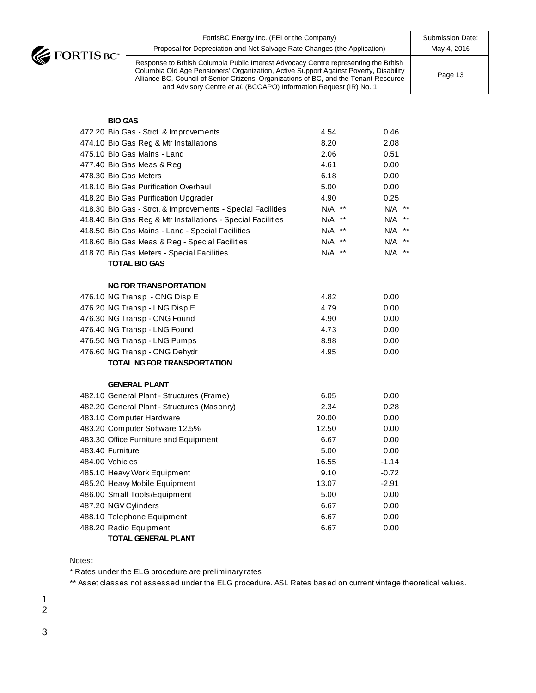**CE FORTIS BC** 

| FortisBC Energy Inc. (FEI or the Company)                                                                                                                                                                                                                                                                                                     | <b>Submission Date:</b> |
|-----------------------------------------------------------------------------------------------------------------------------------------------------------------------------------------------------------------------------------------------------------------------------------------------------------------------------------------------|-------------------------|
| Proposal for Depreciation and Net Salvage Rate Changes (the Application)                                                                                                                                                                                                                                                                      | May 4, 2016             |
| Response to British Columbia Public Interest Advocacy Centre representing the British<br>Columbia Old Age Pensioners' Organization, Active Support Against Poverty, Disability<br>Alliance BC, Council of Senior Citizens' Organizations of BC, and the Tenant Resource<br>and Advisory Centre et al. (BCOAPO) Information Request (IR) No. 1 | Page 13                 |

#### **BIO GAS**

| 472.20 Bio Gas - Strct. & Improvements                      | 4.54     | 0.46    |
|-------------------------------------------------------------|----------|---------|
| 474.10 Bio Gas Reg & Mtr Installations                      | 8.20     | 2.08    |
| 475.10 Bio Gas Mains - Land                                 | 2.06     | 0.51    |
| 477.40 Bio Gas Meas & Reg                                   | 4.61     | 0.00    |
| 478.30 Bio Gas Meters                                       | 6.18     | 0.00    |
| 418.10 Bio Gas Purification Overhaul                        | 5.00     | 0.00    |
| 418.20 Bio Gas Purification Upgrader                        | 4.90     | 0.25    |
| 418.30 Bio Gas - Strct. & Improvements - Special Facilities | N/A **   | N/A **  |
| 418.40 Bio Gas Reg & Mtr Installations - Special Facilities | N/A **   | N/A **  |
| 418.50 Bio Gas Mains - Land - Special Facilities            | $N/A$ ** | N/A **  |
| 418.60 Bio Gas Meas & Reg - Special Facilities              | N/A **   | N/A **  |
| 418.70 Bio Gas Meters - Special Facilities                  | N/A **   | N/A **  |
| <b>TOTAL BIO GAS</b>                                        |          |         |
| <b>NG FOR TRANSPORTATION</b>                                |          |         |
| 476.10 NG Transp - CNG Disp E                               | 4.82     | 0.00    |
| 476.20 NG Transp - LNG Disp E                               | 4.79     | 0.00    |
| 476.30 NG Transp - CNG Found                                | 4.90     | 0.00    |
| 476.40 NG Transp - LNG Found                                | 4.73     | 0.00    |
| 476.50 NG Transp - LNG Pumps                                | 8.98     | 0.00    |
| 476.60 NG Transp - CNG Dehydr                               | 4.95     | 0.00    |
| <b>TOTAL NG FOR TRANSPORTATION</b>                          |          |         |
| <b>GENERAL PLANT</b>                                        |          |         |
| 482.10 General Plant - Structures (Frame)                   | 6.05     | 0.00    |
| 482.20 General Plant - Structures (Masonry)                 | 2.34     | 0.28    |
| 483.10 Computer Hardware                                    | 20.00    | 0.00    |
| 483.20 Computer Software 12.5%                              | 12.50    | 0.00    |
| 483.30 Office Furniture and Equipment                       | 6.67     | 0.00    |
| 483.40 Furniture                                            | 5.00     | 0.00    |
| 484.00 Vehicles                                             | 16.55    | $-1.14$ |
| 485.10 Heavy Work Equipment                                 | 9.10     | $-0.72$ |
| 485.20 Heavy Mobile Equipment                               | 13.07    | $-2.91$ |
| 486.00 Small Tools/Equipment                                | 5.00     | 0.00    |
| 487.20 NGV Cylinders                                        | 6.67     | 0.00    |
| 488.10 Telephone Equipment                                  | 6.67     | 0.00    |
| 488.20 Radio Equipment                                      | 6.67     | 0.00    |
| <b>TOTAL GENERAL PLANT</b>                                  |          |         |

Notes:

\* Rates under the ELG procedure are preliminary rates

\*\* Asset classes not assessed under the ELG procedure. ASL Rates based on current vintage theoretical values.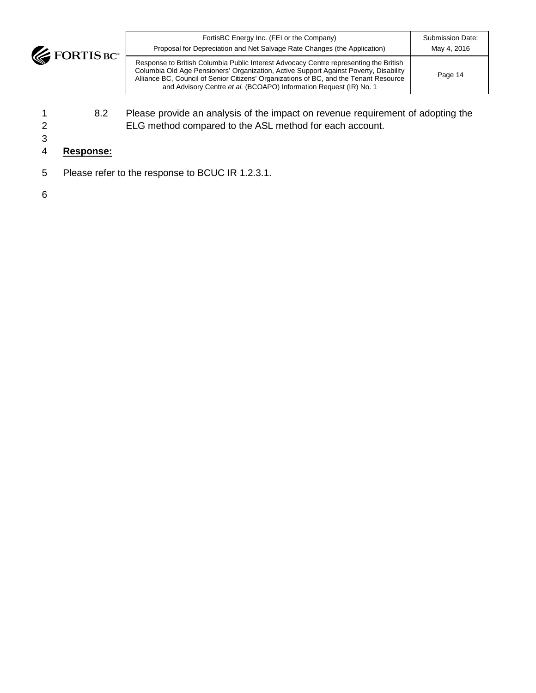

| FortisBC Energy Inc. (FEI or the Company)                                                                                                                                                                                                                                                                                                     | Submission Date: |
|-----------------------------------------------------------------------------------------------------------------------------------------------------------------------------------------------------------------------------------------------------------------------------------------------------------------------------------------------|------------------|
| Proposal for Depreciation and Net Salvage Rate Changes (the Application)                                                                                                                                                                                                                                                                      | May 4, 2016      |
| Response to British Columbia Public Interest Advocacy Centre representing the British<br>Columbia Old Age Pensioners' Organization, Active Support Against Poverty, Disability<br>Alliance BC, Council of Senior Citizens' Organizations of BC, and the Tenant Resource<br>and Advisory Centre et al. (BCOAPO) Information Request (IR) No. 1 | Page 14          |

- 1 8.2 Please provide an analysis of the impact on revenue requirement of adopting the 2 ELG method compared to the ASL method for each account.
- 3

# 4 **Response:**

5 Please refer to the response to BCUC IR 1.2.3.1.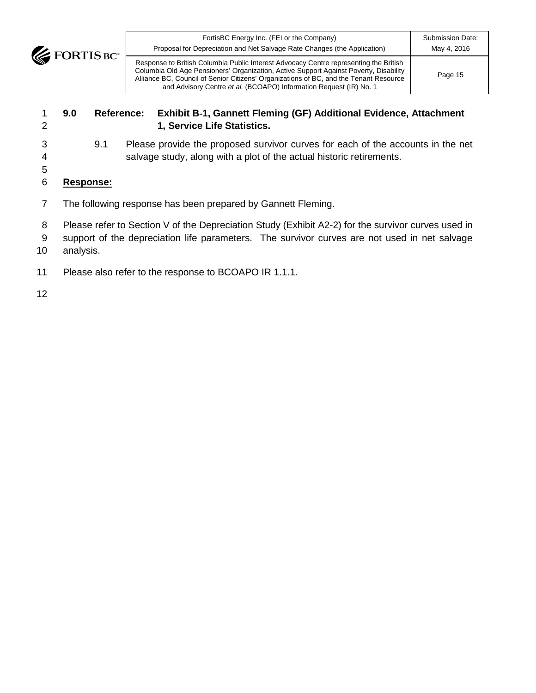**EXECUTE BOY** 

### 1 **9.0 Reference: Exhibit B**‐**1, Gannett Fleming (GF) Additional Evidence, Attachment**  2 **1, Service Life Statistics.**

- 
- 3 9.1 Please provide the proposed survivor curves for each of the accounts in the net 4 salvage study, along with a plot of the actual historic retirements.
- 5
- 6 **Response:**
- 7 The following response has been prepared by Gannett Fleming.
- 8 Please refer to Section V of the Depreciation Study (Exhibit A2-2) for the survivor curves used in
- 9 support of the depreciation life parameters. The survivor curves are not used in net salvage
- 10 analysis.
- 11 Please also refer to the response to BCOAPO IR 1.1.1.
- 12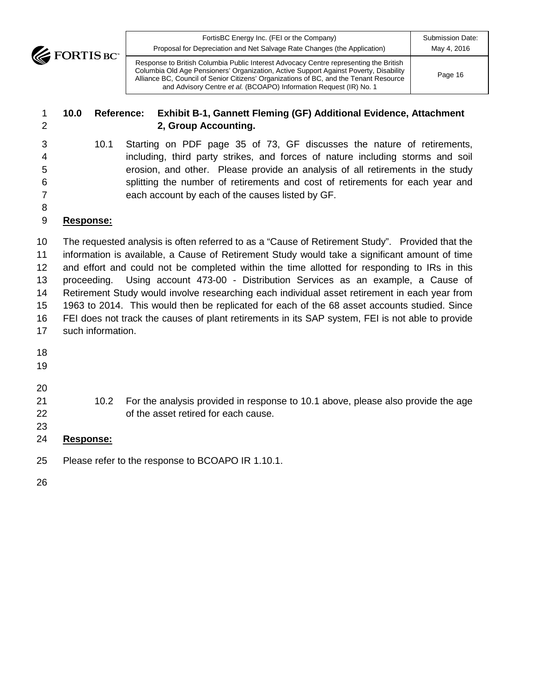**EXECUTE BOY** 

| FortisBC Energy Inc. (FEI or the Company)<br>Proposal for Depreciation and Net Salvage Rate Changes (the Application)                                                                                                                                                                                                                         | Submission Date:<br>May 4, 2016 |
|-----------------------------------------------------------------------------------------------------------------------------------------------------------------------------------------------------------------------------------------------------------------------------------------------------------------------------------------------|---------------------------------|
| Response to British Columbia Public Interest Advocacy Centre representing the British<br>Columbia Old Age Pensioners' Organization, Active Support Against Poverty, Disability<br>Alliance BC, Council of Senior Citizens' Organizations of BC, and the Tenant Resource<br>and Advisory Centre et al. (BCOAPO) Information Request (IR) No. 1 | Page 16                         |

### **10.0 Reference: Exhibit B**‐**1, Gannett Fleming (GF) Additional Evidence, Attachment 2, Group Accounting.**

 10.1 Starting on PDF page 35 of 73, GF discusses the nature of retirements, including, third party strikes, and forces of nature including storms and soil erosion, and other. Please provide an analysis of all retirements in the study splitting the number of retirements and cost of retirements for each year and each account by each of the causes listed by GF.

### 

### **Response:**

 The requested analysis is often referred to as a "Cause of Retirement Study". Provided that the information is available, a Cause of Retirement Study would take a significant amount of time and effort and could not be completed within the time allotted for responding to IRs in this proceeding. Using account 473-00 - Distribution Services as an example, a Cause of Retirement Study would involve researching each individual asset retirement in each year from 1963 to 2014. This would then be replicated for each of the 68 asset accounts studied. Since FEI does not track the causes of plant retirements in its SAP system, FEI is not able to provide such information.

- 
- 
- 
- 10.2 For the analysis provided in response to 10.1 above, please also provide the age of the asset retired for each cause.
- 

# **Response:**

- Please refer to the response to BCOAPO IR 1.10.1.
-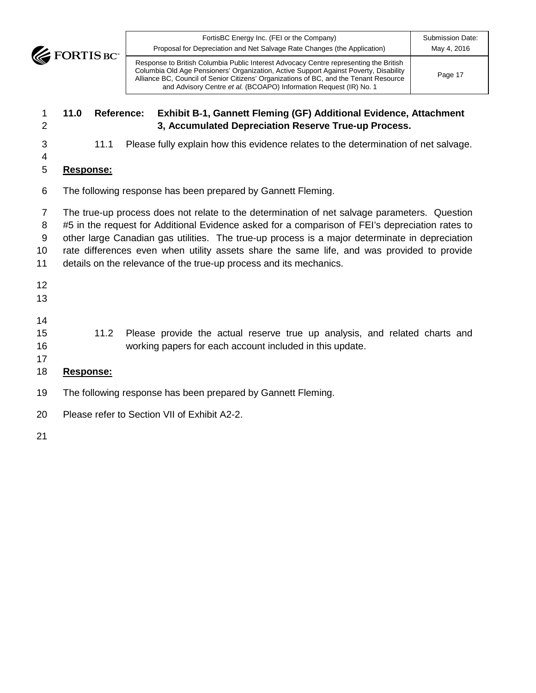FortisBC Energy Inc. (FEI or the Company) Proposal for Depreciation and Net Salvage Rate Changes (the Application) Submission Date: May 4, 2016 Response to British Columbia Public Interest Advocacy Centre representing the British Columbia Old Age Pensioners' Organization, Active Support Against Poverty, Disability Alliance BC, Council of Senior Citizens' Organizations of BC, and the Tenant Resource and Advisory Centre *et al.* (BCOAPO) Information Request (IR) No. 1 Page 17

# **11.0 Reference: Exhibit B**‐**1, Gannett Fleming (GF) Additional Evidence, Attachment 3, Accumulated Depreciation Reserve True-up Process.**

- 11.1 Please fully explain how this evidence relates to the determination of net salvage.
- **Response:**
- The following response has been prepared by Gannett Fleming.

 The true-up process does not relate to the determination of net salvage parameters. Question #5 in the request for Additional Evidence asked for a comparison of FEI's depreciation rates to other large Canadian gas utilities. The true-up process is a major determinate in depreciation rate differences even when utility assets share the same life, and was provided to provide details on the relevance of the true-up process and its mechanics.

- 
- 
- 

 11.2 Please provide the actual reserve true up analysis, and related charts and working papers for each account included in this update.

# **Response:**

- The following response has been prepared by Gannett Fleming.
- Please refer to Section VII of Exhibit A2-2.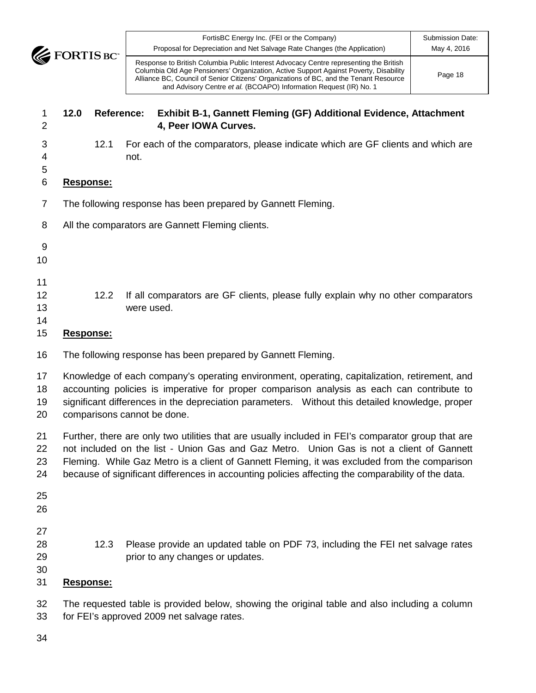# **12.0 Reference: Exhibit B**‐**1, Gannett Fleming (GF) Additional Evidence, Attachment 4, Peer IOWA Curves.**

 12.1 For each of the comparators, please indicate which are GF clients and which are not.

# **Response:**

The following response has been prepared by Gannett Fleming.

- 
- 
- 12 12.2 If all comparators are GF clients, please fully explain why no other comparators were used.
- 
- **Response:**
- The following response has been prepared by Gannett Fleming.

 Knowledge of each company's operating environment, operating, capitalization, retirement, and accounting policies is imperative for proper comparison analysis as each can contribute to significant differences in the depreciation parameters. Without this detailed knowledge, proper comparisons cannot be done.

- Further, there are only two utilities that are usually included in FEI's comparator group that are not included on the list - Union Gas and Gaz Metro. Union Gas is not a client of Gannett Fleming. While Gaz Metro is a client of Gannett Fleming, it was excluded from the comparison because of significant differences in accounting policies affecting the comparability of the data.
- 
- 
- 
- 
- 
- 12.3 Please provide an updated table on PDF 73, including the FEI net salvage rates **prior to any changes or updates.**
- 

# **Response:**

- The requested table is provided below, showing the original table and also including a column for FEI's approved 2009 net salvage rates.
- 

<sup>8</sup> All the comparators are Gannett Fleming clients.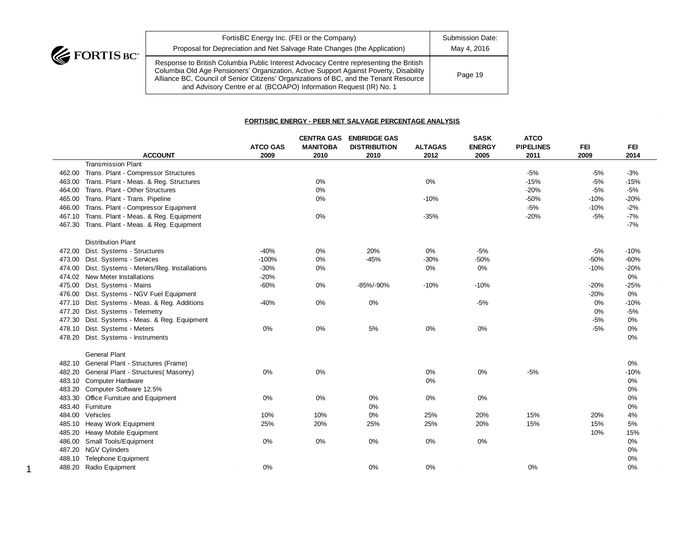

| FortisBC Energy Inc. (FEI or the Company)                                                                                                                                                                                                                                                                                                     | Submission Date: |
|-----------------------------------------------------------------------------------------------------------------------------------------------------------------------------------------------------------------------------------------------------------------------------------------------------------------------------------------------|------------------|
| Proposal for Depreciation and Net Salvage Rate Changes (the Application)                                                                                                                                                                                                                                                                      | May 4, 2016      |
| Response to British Columbia Public Interest Advocacy Centre representing the British<br>Columbia Old Age Pensioners' Organization, Active Support Against Poverty, Disability<br>Alliance BC, Council of Senior Citizens' Organizations of BC, and the Tenant Resource<br>and Advisory Centre et al. (BCOAPO) Information Request (IR) No. 1 | Page 19          |

#### **FORTISBC ENERGY - PEER NET SALVAGE PERCENTAGE ANALYSIS**

|        |                                                  |                 | <b>CENTRA GAS</b> | <b>ENBRIDGE GAS</b> |                | <b>SASK</b>   | <b>ATCO</b>      |            |            |
|--------|--------------------------------------------------|-----------------|-------------------|---------------------|----------------|---------------|------------------|------------|------------|
|        |                                                  | <b>ATCO GAS</b> | <b>MANITOBA</b>   | <b>DISTRIBUTION</b> | <b>ALTAGAS</b> | <b>ENERGY</b> | <b>PIPELINES</b> | <b>FEI</b> | <b>FEI</b> |
|        | <b>ACCOUNT</b>                                   | 2009            | 2010              | 2010                | 2012           | 2005          | 2011             | 2009       | 2014       |
|        | <b>Transmission Plant</b>                        |                 |                   |                     |                |               |                  |            |            |
|        | 462.00 Trans. Plant - Compressor Structures      |                 |                   |                     |                |               | $-5%$            | $-5%$      | $-3%$      |
|        | 463.00 Trans. Plant - Meas. & Reg. Structures    |                 | 0%                |                     | 0%             |               | $-15%$           | $-5%$      | $-15%$     |
|        | 464.00 Trans. Plant - Other Structures           |                 | 0%                |                     |                |               | $-20%$           | $-5%$      | $-5%$      |
|        | 465.00 Trans. Plant - Trans. Pipeline            |                 | 0%                |                     | $-10%$         |               | $-50%$           | $-10%$     | $-20%$     |
|        | 466.00 Trans. Plant - Compressor Equipment       |                 |                   |                     |                |               | $-5%$            | $-10%$     | $-2%$      |
| 467.10 | Trans. Plant - Meas. & Reg. Equipment            |                 | 0%                |                     | $-35%$         |               | $-20%$           | $-5%$      | $-7%$      |
|        | 467.30 Trans. Plant - Meas. & Reg. Equipment     |                 |                   |                     |                |               |                  |            | $-7%$      |
|        | <b>Distribution Plant</b>                        |                 |                   |                     |                |               |                  |            |            |
|        | 472.00 Dist. Systems - Structures                | $-40%$          | 0%                | 20%                 | $0\%$          | $-5%$         |                  | $-5%$      | $-10%$     |
|        | 473.00 Dist. Systems - Services                  | $-100%$         | 0%                | $-45%$              | $-30%$         | $-50%$        |                  | $-50%$     | $-60%$     |
|        | 474.00 Dist. Systems - Meters/Reg. Installations | $-30%$          | $0\%$             |                     | $0\%$          | 0%            |                  | $-10%$     | $-20%$     |
|        | 474.02 New Meter Installations                   | $-20%$          |                   |                     |                |               |                  |            | 0%         |
|        | 475.00 Dist. Systems - Mains                     | $-60%$          | $0\%$             | -85%/-90%           | $-10%$         | $-10%$        |                  | $-20%$     | $-25%$     |
|        | 476.00 Dist. Systems - NGV Fuel Equipment        |                 |                   |                     |                |               |                  | $-20%$     | 0%         |
|        | 477.10 Dist. Systems - Meas. & Reg. Additions    | $-40%$          | 0%                | 0%                  |                | $-5%$         |                  | 0%         | $-10%$     |
|        | 477.20 Dist. Systems - Telemetry                 |                 |                   |                     |                |               |                  | 0%         | $-5%$      |
|        | 477.30 Dist. Systems - Meas. & Reg. Equipment    |                 |                   |                     |                |               |                  | $-5%$      | $0\%$      |
|        | 478.10 Dist. Systems - Meters                    | 0%              | 0%                | 5%                  | 0%             | 0%            |                  | $-5%$      | $0\%$      |
| 478.20 | Dist. Systems - Instruments                      |                 |                   |                     |                |               |                  |            | 0%         |
|        | <b>General Plant</b>                             |                 |                   |                     |                |               |                  |            |            |
|        | 482.10 General Plant - Structures (Frame)        |                 |                   |                     |                |               |                  |            | $0\%$      |
|        | 482.20 General Plant - Structures (Masonry)      | 0%              | 0%                |                     | 0%             | 0%            | $-5%$            |            | $-10%$     |
|        | 483.10 Computer Hardware                         |                 |                   |                     | 0%             |               |                  |            | $0\%$      |
|        | 483.20 Computer Software 12.5%                   |                 |                   |                     |                |               |                  |            | 0%         |
|        | 483.30 Office Furniture and Equipment            | 0%              | 0%                | 0%                  | 0%             | 0%            |                  |            | 0%         |
|        | 483.40 Furniture                                 |                 |                   | 0%                  |                |               |                  |            | 0%         |
|        | 484.00 Vehicles                                  | 10%             | 10%               | 0%                  | 25%            | 20%           | 15%              | 20%        | 4%         |
|        | 485.10 Heavy Work Equipment                      | 25%             | 20%               | 25%                 | 25%            | 20%           | 15%              | 15%        | 5%         |
|        | 485.20 Heavy Mobile Equipment                    |                 |                   |                     |                |               |                  | 10%        | 15%        |
|        | 486.00 Small Tools/Equipment                     | 0%              | 0%                | 0%                  | 0%             | 0%            |                  |            | $0\%$      |
| 487.20 | <b>NGV Cylinders</b>                             |                 |                   |                     |                |               |                  |            | $0\%$      |
| 488.10 | <b>Telephone Equipment</b>                       |                 |                   |                     |                |               |                  |            | 0%         |
|        | 488.20 Radio Equipment                           | 0%              |                   | 0%                  | 0%             |               | $0\%$            |            | 0%         |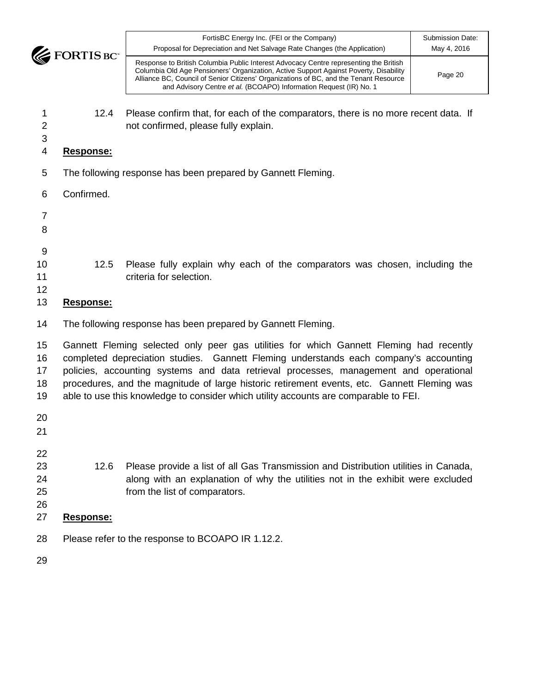

| m. | FortisBC Energy Inc. (FEI or the Company)<br>Proposal for Depreciation and Net Salvage Rate Changes (the Application)                                                                                                                                                                                                                         | Submission Date:<br>May 4, 2016 |
|----|-----------------------------------------------------------------------------------------------------------------------------------------------------------------------------------------------------------------------------------------------------------------------------------------------------------------------------------------------|---------------------------------|
|    | Response to British Columbia Public Interest Advocacy Centre representing the British<br>Columbia Old Age Pensioners' Organization, Active Support Against Poverty, Disability<br>Alliance BC, Council of Senior Citizens' Organizations of BC, and the Tenant Resource<br>and Advisory Centre et al. (BCOAPO) Information Request (IR) No. 1 | Page 20                         |

- 12.4 Please confirm that, for each of the comparators, there is no more recent data. If not confirmed, please fully explain.
- 
- **Response:**
- The following response has been prepared by Gannett Fleming.

Confirmed.

- 
- 
- 
- 
- 
- 
- 12.5 Please fully explain why each of the comparators was chosen, including the **criteria for selection.**
- 

# **Response:**

The following response has been prepared by Gannett Fleming.

 Gannett Fleming selected only peer gas utilities for which Gannett Fleming had recently completed depreciation studies. Gannett Fleming understands each company's accounting policies, accounting systems and data retrieval processes, management and operational procedures, and the magnitude of large historic retirement events, etc. Gannett Fleming was able to use this knowledge to consider which utility accounts are comparable to FEI.

- 
- 
- 
- 12.6 Please provide a list of all Gas Transmission and Distribution utilities in Canada, along with an explanation of why the utilities not in the exhibit were excluded from the list of comparators.
- **Response:**
- Please refer to the response to BCOAPO IR 1.12.2.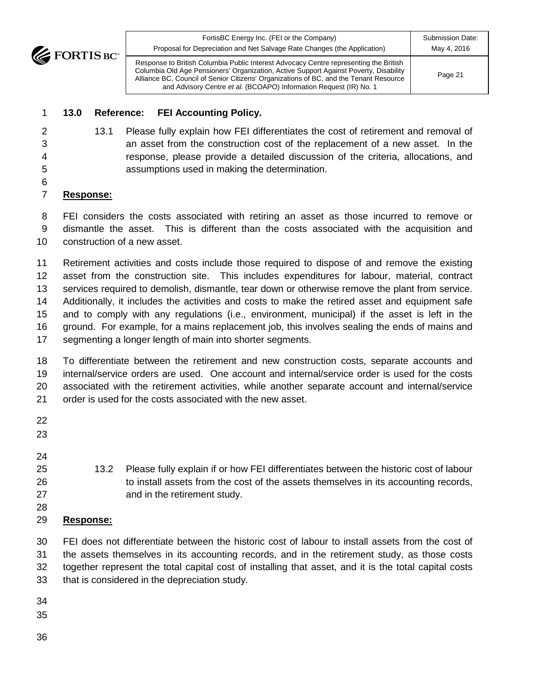| $\mathbf{v}$ | FortisBC Energy Inc. (FEI or the Company)<br>Proposal for Depreciation and Net Salvage Rate Changes (the Application)                                                                                                                                                                                                                         | Submission Date:<br>May 4, 2016 |
|--------------|-----------------------------------------------------------------------------------------------------------------------------------------------------------------------------------------------------------------------------------------------------------------------------------------------------------------------------------------------|---------------------------------|
|              | Response to British Columbia Public Interest Advocacy Centre representing the British<br>Columbia Old Age Pensioners' Organization, Active Support Against Poverty, Disability<br>Alliance BC, Council of Senior Citizens' Organizations of BC, and the Tenant Resource<br>and Advisory Centre et al. (BCOAPO) Information Request (IR) No. 1 | Page 21                         |

#### **13.0 Reference: FEI Accounting Policy.**

- 13.1 Please fully explain how FEI differentiates the cost of retirement and removal of an asset from the construction cost of the replacement of a new asset. In the response, please provide a detailed discussion of the criteria, allocations, and assumptions used in making the determination.
- 

### **Response:**

 FEI considers the costs associated with retiring an asset as those incurred to remove or dismantle the asset. This is different than the costs associated with the acquisition and construction of a new asset.

 Retirement activities and costs include those required to dispose of and remove the existing asset from the construction site. This includes expenditures for labour, material, contract services required to demolish, dismantle, tear down or otherwise remove the plant from service. Additionally, it includes the activities and costs to make the retired asset and equipment safe and to comply with any regulations (i.e., environment, municipal) if the asset is left in the ground. For example, for a mains replacement job, this involves sealing the ends of mains and segmenting a longer length of main into shorter segments.

 To differentiate between the retirement and new construction costs, separate accounts and internal/service orders are used. One account and internal/service order is used for the costs associated with the retirement activities, while another separate account and internal/service order is used for the costs associated with the new asset.

- 
- 
- 
- 13.2 Please fully explain if or how FEI differentiates between the historic cost of labour to install assets from the cost of the assets themselves in its accounting records, and in the retirement study.
- 
- **Response:**

 FEI does not differentiate between the historic cost of labour to install assets from the cost of the assets themselves in its accounting records, and in the retirement study, as those costs together represent the total capital cost of installing that asset, and it is the total capital costs that is considered in the depreciation study.

- 
-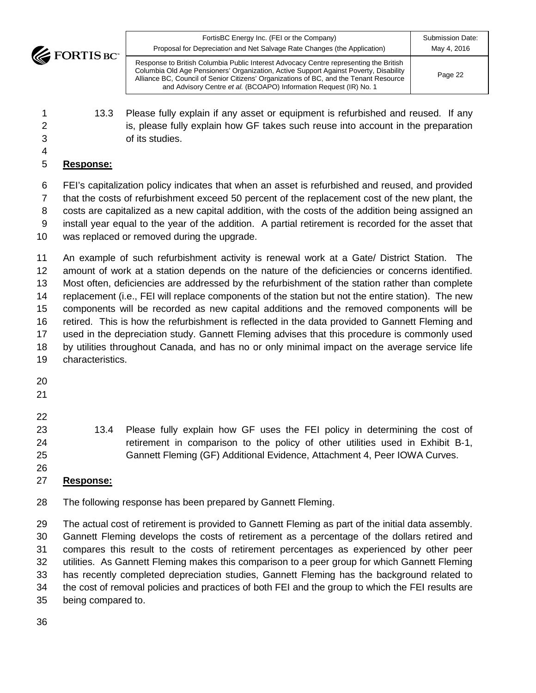| <b>ITM</b> | FortisBC Energy Inc. (FEI or the Company)<br>Proposal for Depreciation and Net Salvage Rate Changes (the Application)                                                                                                                                                                                                                         | Submission Date:<br>May 4, 2016 |
|------------|-----------------------------------------------------------------------------------------------------------------------------------------------------------------------------------------------------------------------------------------------------------------------------------------------------------------------------------------------|---------------------------------|
|            | Response to British Columbia Public Interest Advocacy Centre representing the British<br>Columbia Old Age Pensioners' Organization, Active Support Against Poverty, Disability<br>Alliance BC, Council of Senior Citizens' Organizations of BC, and the Tenant Resource<br>and Advisory Centre et al. (BCOAPO) Information Request (IR) No. 1 | Page 22                         |

- 13.3 Please fully explain if any asset or equipment is refurbished and reused. If any 2 is, please fully explain how GF takes such reuse into account in the preparation of its studies.
- 

# **Response:**

 FEI's capitalization policy indicates that when an asset is refurbished and reused, and provided that the costs of refurbishment exceed 50 percent of the replacement cost of the new plant, the costs are capitalized as a new capital addition, with the costs of the addition being assigned an install year equal to the year of the addition. A partial retirement is recorded for the asset that was replaced or removed during the upgrade.

 An example of such refurbishment activity is renewal work at a Gate/ District Station. The amount of work at a station depends on the nature of the deficiencies or concerns identified. Most often, deficiencies are addressed by the refurbishment of the station rather than complete replacement (i.e., FEI will replace components of the station but not the entire station). The new components will be recorded as new capital additions and the removed components will be retired. This is how the refurbishment is reflected in the data provided to Gannett Fleming and used in the depreciation study. Gannett Fleming advises that this procedure is commonly used by utilities throughout Canada, and has no or only minimal impact on the average service life characteristics.

- 
- 13.4 Please fully explain how GF uses the FEI policy in determining the cost of 24 retirement in comparison to the policy of other utilities used in Exhibit B-1, Gannett Fleming (GF) Additional Evidence, Attachment 4, Peer IOWA Curves.

#### **Response:**

The following response has been prepared by Gannett Fleming.

 The actual cost of retirement is provided to Gannett Fleming as part of the initial data assembly. Gannett Fleming develops the costs of retirement as a percentage of the dollars retired and compares this result to the costs of retirement percentages as experienced by other peer utilities. As Gannett Fleming makes this comparison to a peer group for which Gannett Fleming has recently completed depreciation studies, Gannett Fleming has the background related to the cost of removal policies and practices of both FEI and the group to which the FEI results are being compared to.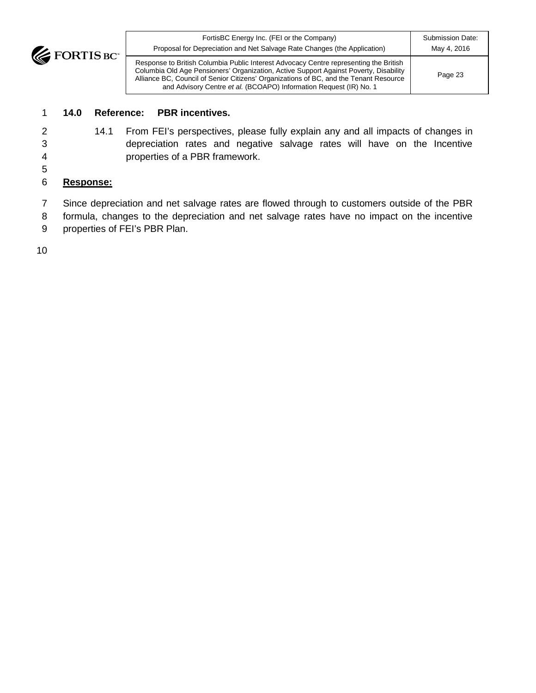**EXPENSED FORTIS BC** 

| FortisBC Energy Inc. (FEI or the Company)                                                                                                                                                                                                                                                                                                     | Submission Date: |
|-----------------------------------------------------------------------------------------------------------------------------------------------------------------------------------------------------------------------------------------------------------------------------------------------------------------------------------------------|------------------|
| Proposal for Depreciation and Net Salvage Rate Changes (the Application)                                                                                                                                                                                                                                                                      | May 4, 2016      |
| Response to British Columbia Public Interest Advocacy Centre representing the British<br>Columbia Old Age Pensioners' Organization, Active Support Against Poverty, Disability<br>Alliance BC, Council of Senior Citizens' Organizations of BC, and the Tenant Resource<br>and Advisory Centre et al. (BCOAPO) Information Request (IR) No. 1 | Page 23          |

### 1 **14.0 Reference: PBR incentives.**

- 
- 2 14.1 From FEI's perspectives, please fully explain any and all impacts of changes in 3 depreciation rates and negative salvage rates will have on the Incentive 4 properties of a PBR framework.
- 5
- 6 **Response:**
- 7 Since depreciation and net salvage rates are flowed through to customers outside of the PBR
- 8 formula, changes to the depreciation and net salvage rates have no impact on the incentive
- 9 properties of FEI's PBR Plan.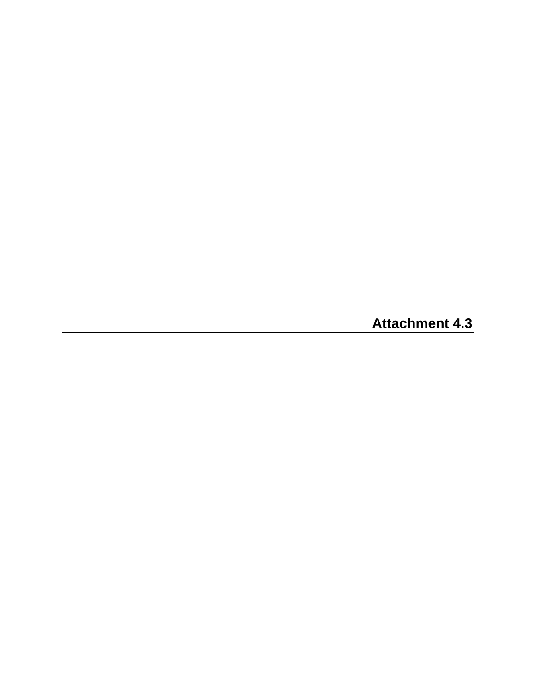**Attachment 4.3**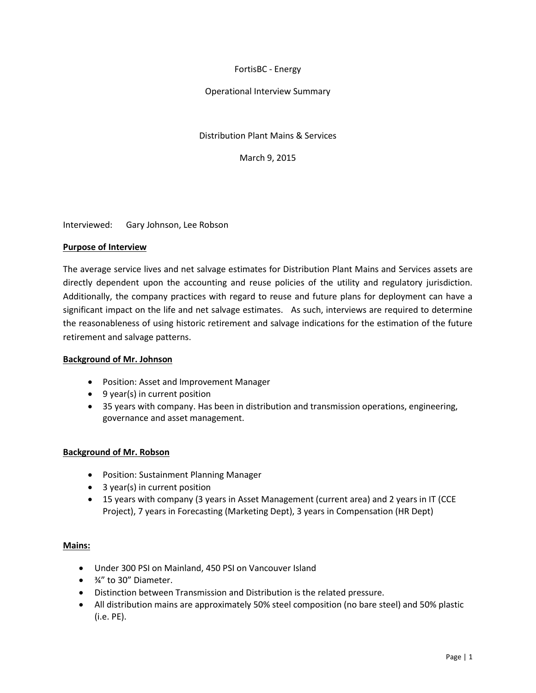#### FortisBC - Energy

#### Operational Interview Summary

#### Distribution Plant Mains & Services

March 9, 2015

Interviewed: Gary Johnson, Lee Robson

#### **Purpose of Interview**

The average service lives and net salvage estimates for Distribution Plant Mains and Services assets are directly dependent upon the accounting and reuse policies of the utility and regulatory jurisdiction. Additionally, the company practices with regard to reuse and future plans for deployment can have a significant impact on the life and net salvage estimates. As such, interviews are required to determine the reasonableness of using historic retirement and salvage indications for the estimation of the future retirement and salvage patterns.

#### **Background of Mr. Johnson**

- Position: Asset and Improvement Manager
- 9 year(s) in current position
- 35 years with company. Has been in distribution and transmission operations, engineering, governance and asset management.

#### **Background of Mr. Robson**

- Position: Sustainment Planning Manager
- 3 year(s) in current position
- 15 years with company (3 years in Asset Management (current area) and 2 years in IT (CCE Project), 7 years in Forecasting (Marketing Dept), 3 years in Compensation (HR Dept)

#### **Mains:**

- Under 300 PSI on Mainland, 450 PSI on Vancouver Island
- ¾" to 30" Diameter.
- Distinction between Transmission and Distribution is the related pressure.
- All distribution mains are approximately 50% steel composition (no bare steel) and 50% plastic (i.e. PE).